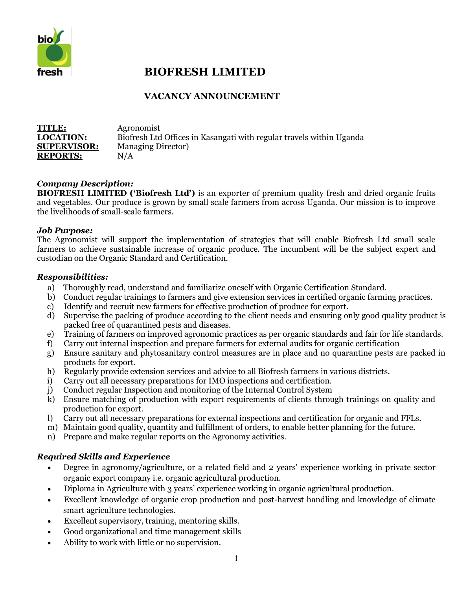

# **BIOFRESH LIMITED**

## **VACANCY ANNOUNCEMENT**

| <b>TITLE:</b>      | Agronomist                                                           |
|--------------------|----------------------------------------------------------------------|
| <b>LOCATION:</b>   | Biofresh Ltd Offices in Kasangati with regular travels within Uganda |
| <b>SUPERVISOR:</b> | <b>Managing Director</b> )                                           |
| <b>REPORTS:</b>    | N/A                                                                  |
|                    |                                                                      |

### *Company Description:*

**BIOFRESH LIMITED ('Biofresh Ltd')** is an exporter of premium quality fresh and dried organic fruits and vegetables. Our produce is grown by small scale farmers from across Uganda. Our mission is to improve the livelihoods of small-scale farmers.

#### *Job Purpose:*

The Agronomist will support the implementation of strategies that will enable Biofresh Ltd small scale farmers to achieve sustainable increase of organic produce. The incumbent will be the subject expert and custodian on the Organic Standard and Certification.

#### *Responsibilities:*

- a) Thoroughly read, understand and familiarize oneself with Organic Certification Standard.
- b) Conduct regular trainings to farmers and give extension services in certified organic farming practices.
- c) Identify and recruit new farmers for effective production of produce for export.
- d) Supervise the packing of produce according to the client needs and ensuring only good quality product is packed free of quarantined pests and diseases.
- e) Training of farmers on improved agronomic practices as per organic standards and fair for life standards.
- f) Carry out internal inspection and prepare farmers for external audits for organic certification
- g) Ensure sanitary and phytosanitary control measures are in place and no quarantine pests are packed in products for export.
- h) Regularly provide extension services and advice to all Biofresh farmers in various districts.
- i) Carry out all necessary preparations for IMO inspections and certification.
- j) Conduct regular Inspection and monitoring of the Internal Control System
- k) Ensure matching of production with export requirements of clients through trainings on quality and production for export.
- l) Carry out all necessary preparations for external inspections and certification for organic and FFLs.
- m) Maintain good quality, quantity and fulfillment of orders, to enable better planning for the future.
- n) Prepare and make regular reports on the Agronomy activities.

#### *Required Skills and Experience*

- Degree in agronomy/agriculture, or a related field and 2 years' experience working in private sector organic export company i.e. organic agricultural production.
- Diploma in Agriculture with 3 years' experience working in organic agricultural production.
- Excellent knowledge of organic crop production and post-harvest handling and knowledge of climate smart agriculture technologies.
- Excellent supervisory, training, mentoring skills.
- Good organizational and time management skills
- Ability to work with little or no supervision.